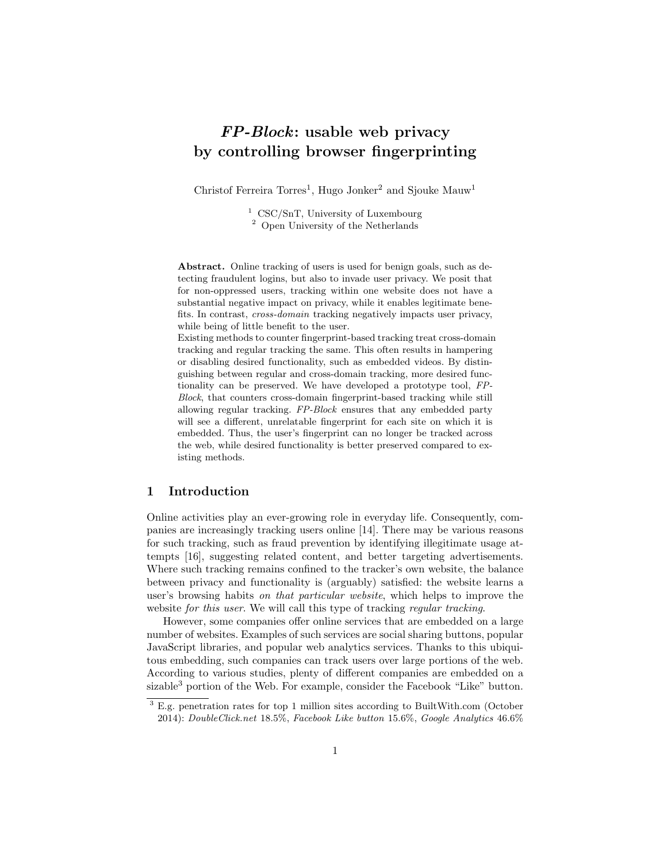# FP-Block: usable web privacy by controlling browser fingerprinting

Christof Ferreira Torres<sup>1</sup>, Hugo Jonker<sup>2</sup> and Sjouke Mauw<sup>1</sup>

<sup>1</sup> CSC/SnT, University of Luxembourg <sup>2</sup> Open University of the Netherlands

Abstract. Online tracking of users is used for benign goals, such as detecting fraudulent logins, but also to invade user privacy. We posit that for non-oppressed users, tracking within one website does not have a substantial negative impact on privacy, while it enables legitimate benefits. In contrast, cross-domain tracking negatively impacts user privacy, while being of little benefit to the user.

Existing methods to counter fingerprint-based tracking treat cross-domain tracking and regular tracking the same. This often results in hampering or disabling desired functionality, such as embedded videos. By distinguishing between regular and cross-domain tracking, more desired functionality can be preserved. We have developed a prototype tool, FP-Block, that counters cross-domain fingerprint-based tracking while still allowing regular tracking. FP-Block ensures that any embedded party will see a different, unrelatable fingerprint for each site on which it is embedded. Thus, the user's fingerprint can no longer be tracked across the web, while desired functionality is better preserved compared to existing methods.

## 1 Introduction

Online activities play an ever-growing role in everyday life. Consequently, companies are increasingly tracking users online [\[14\]](#page-16-0). There may be various reasons for such tracking, such as fraud prevention by identifying illegitimate usage attempts [\[16\]](#page-16-1), suggesting related content, and better targeting advertisements. Where such tracking remains confined to the tracker's own website, the balance between privacy and functionality is (arguably) satisfied: the website learns a user's browsing habits on that particular website, which helps to improve the website *for this user*. We will call this type of tracking *regular tracking*.

However, some companies offer online services that are embedded on a large number of websites. Examples of such services are social sharing buttons, popular JavaScript libraries, and popular web analytics services. Thanks to this ubiquitous embedding, such companies can track users over large portions of the web. According to various studies, plenty of different companies are embedded on a sizable[3](#page-0-0) portion of the Web. For example, consider the Facebook "Like" button.

<span id="page-0-0"></span><sup>&</sup>lt;sup>3</sup> E.g. penetration rates for top 1 million sites according to BuiltWith.com (October 2014): DoubleClick.net 18.5%, Facebook Like button 15.6%, Google Analytics 46.6%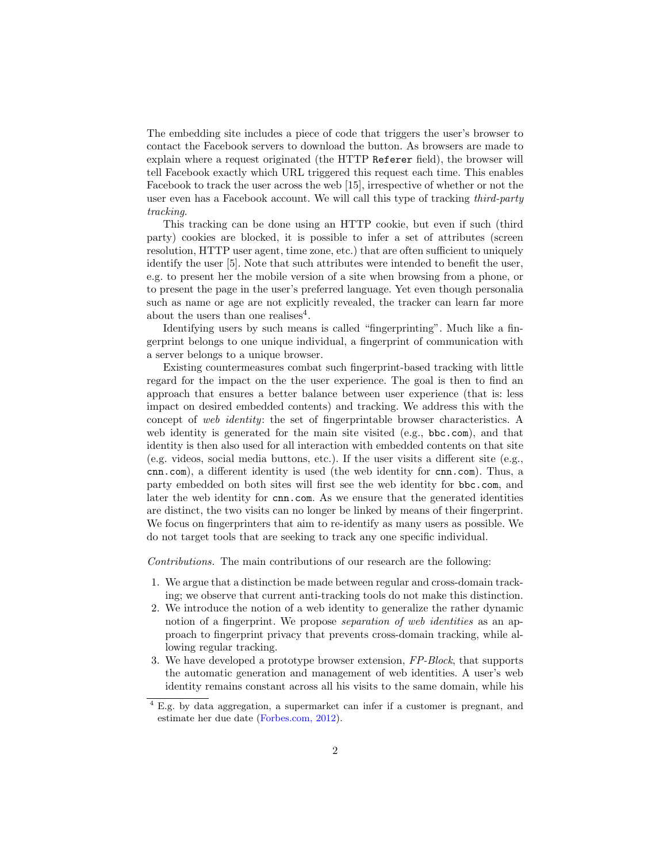The embedding site includes a piece of code that triggers the user's browser to contact the Facebook servers to download the button. As browsers are made to explain where a request originated (the HTTP Referer field), the browser will tell Facebook exactly which URL triggered this request each time. This enables Facebook to track the user across the web [\[15\]](#page-16-2), irrespective of whether or not the user even has a Facebook account. We will call this type of tracking third-party tracking.

This tracking can be done using an HTTP cookie, but even if such (third party) cookies are blocked, it is possible to infer a set of attributes (screen resolution, HTTP user agent, time zone, etc.) that are often sufficient to uniquely identify the user [\[5\]](#page-15-0). Note that such attributes were intended to benefit the user, e.g. to present her the mobile version of a site when browsing from a phone, or to present the page in the user's preferred language. Yet even though personalia such as name or age are not explicitly revealed, the tracker can learn far more about the users than one realises<sup>[4](#page-1-0)</sup>.

Identifying users by such means is called "fingerprinting". Much like a fingerprint belongs to one unique individual, a fingerprint of communication with a server belongs to a unique browser.

Existing countermeasures combat such fingerprint-based tracking with little regard for the impact on the the user experience. The goal is then to find an approach that ensures a better balance between user experience (that is: less impact on desired embedded contents) and tracking. We address this with the concept of web identity: the set of fingerprintable browser characteristics. A web identity is generated for the main site visited (e.g., bbc.com), and that identity is then also used for all interaction with embedded contents on that site (e.g. videos, social media buttons, etc.). If the user visits a different site (e.g., cnn.com), a different identity is used (the web identity for cnn.com). Thus, a party embedded on both sites will first see the web identity for bbc.com, and later the web identity for cnn.com. As we ensure that the generated identities are distinct, the two visits can no longer be linked by means of their fingerprint. We focus on fingerprinters that aim to re-identify as many users as possible. We do not target tools that are seeking to track any one specific individual.

Contributions. The main contributions of our research are the following:

- 1. We argue that a distinction be made between regular and cross-domain tracking; we observe that current anti-tracking tools do not make this distinction.
- 2. We introduce the notion of a web identity to generalize the rather dynamic notion of a fingerprint. We propose separation of web identities as an approach to fingerprint privacy that prevents cross-domain tracking, while allowing regular tracking.
- 3. We have developed a prototype browser extension, FP-Block, that supports the automatic generation and management of web identities. A user's web identity remains constant across all his visits to the same domain, while his

<span id="page-1-0"></span><sup>4</sup> E.g. by data aggregation, a supermarket can infer if a customer is pregnant, and estimate her due date [\(Forbes.com, 2012\)](http://www.forbes.com/sites/kashmirhill/2012/02/16/how-target-figured-out-a-teen-girl-was-pregnant-before-her-father-did/).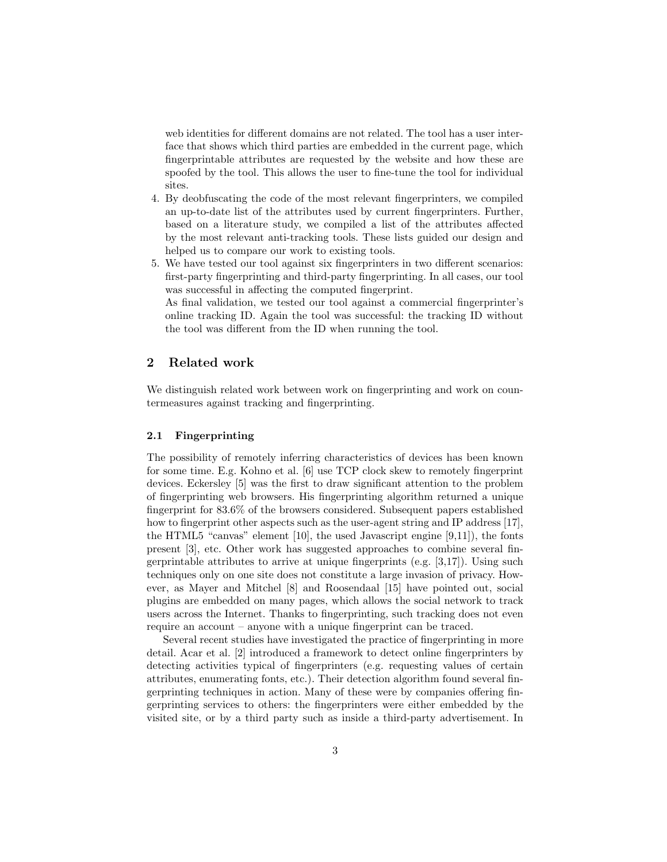web identities for different domains are not related. The tool has a user interface that shows which third parties are embedded in the current page, which fingerprintable attributes are requested by the website and how these are spoofed by the tool. This allows the user to fine-tune the tool for individual sites.

- 4. By deobfuscating the code of the most relevant fingerprinters, we compiled an up-to-date list of the attributes used by current fingerprinters. Further, based on a literature study, we compiled a list of the attributes affected by the most relevant anti-tracking tools. These lists guided our design and helped us to compare our work to existing tools.
- 5. We have tested our tool against six fingerprinters in two different scenarios: first-party fingerprinting and third-party fingerprinting. In all cases, our tool was successful in affecting the computed fingerprint.

As final validation, we tested our tool against a commercial fingerprinter's online tracking ID. Again the tool was successful: the tracking ID without the tool was different from the ID when running the tool.

## 2 Related work

We distinguish related work between work on fingerprinting and work on countermeasures against tracking and fingerprinting.

#### 2.1 Fingerprinting

The possibility of remotely inferring characteristics of devices has been known for some time. E.g. Kohno et al. [\[6\]](#page-16-3) use TCP clock skew to remotely fingerprint devices. Eckersley [\[5\]](#page-15-0) was the first to draw significant attention to the problem of fingerprinting web browsers. His fingerprinting algorithm returned a unique fingerprint for 83.6% of the browsers considered. Subsequent papers established how to fingerprint other aspects such as the user-agent string and IP address [\[17\]](#page-16-4), the HTML5 "canvas" element [\[10\]](#page-16-5), the used Javascript engine [\[9,](#page-16-6)[11\]](#page-16-7)), the fonts present [\[3\]](#page-15-1), etc. Other work has suggested approaches to combine several fingerprintable attributes to arrive at unique fingerprints (e.g. [\[3,](#page-15-1)[17\]](#page-16-4)). Using such techniques only on one site does not constitute a large invasion of privacy. However, as Mayer and Mitchel [\[8\]](#page-16-8) and Roosendaal [\[15\]](#page-16-2) have pointed out, social plugins are embedded on many pages, which allows the social network to track users across the Internet. Thanks to fingerprinting, such tracking does not even require an account – anyone with a unique fingerprint can be traced.

Several recent studies have investigated the practice of fingerprinting in more detail. Acar et al. [\[2\]](#page-15-2) introduced a framework to detect online fingerprinters by detecting activities typical of fingerprinters (e.g. requesting values of certain attributes, enumerating fonts, etc.). Their detection algorithm found several fingerprinting techniques in action. Many of these were by companies offering fingerprinting services to others: the fingerprinters were either embedded by the visited site, or by a third party such as inside a third-party advertisement. In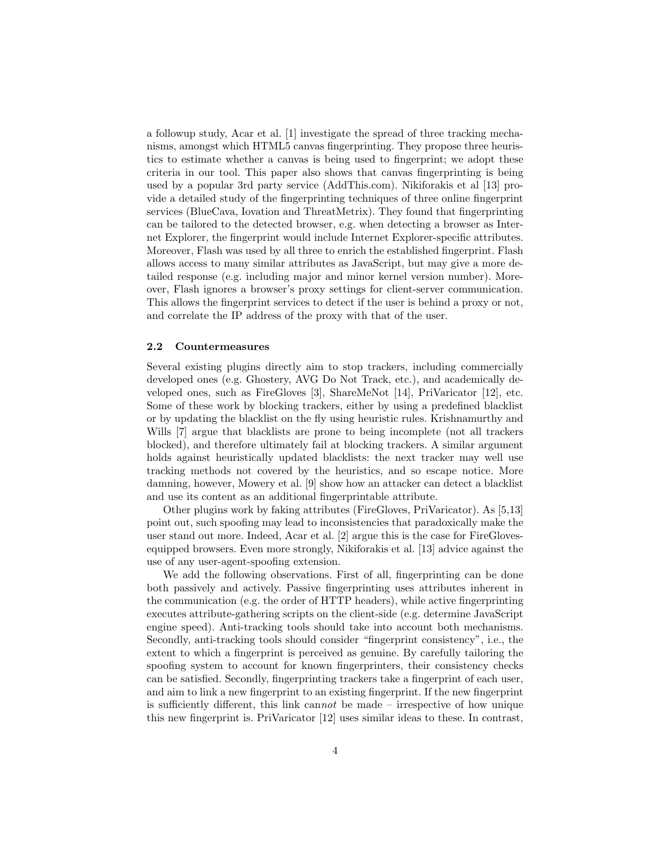a followup study, Acar et al. [\[1\]](#page-15-3) investigate the spread of three tracking mechanisms, amongst which HTML5 canvas fingerprinting. They propose three heuristics to estimate whether a canvas is being used to fingerprint; we adopt these criteria in our tool. This paper also shows that canvas fingerprinting is being used by a popular 3rd party service (AddThis.com). Nikiforakis et al [\[13\]](#page-16-9) provide a detailed study of the fingerprinting techniques of three online fingerprint services (BlueCava, Iovation and ThreatMetrix). They found that fingerprinting can be tailored to the detected browser, e.g. when detecting a browser as Internet Explorer, the fingerprint would include Internet Explorer-specific attributes. Moreover, Flash was used by all three to enrich the established fingerprint. Flash allows access to many similar attributes as JavaScript, but may give a more detailed response (e.g. including major and minor kernel version number). Moreover, Flash ignores a browser's proxy settings for client-server communication. This allows the fingerprint services to detect if the user is behind a proxy or not, and correlate the IP address of the proxy with that of the user.

#### 2.2 Countermeasures

Several existing plugins directly aim to stop trackers, including commercially developed ones (e.g. Ghostery, AVG Do Not Track, etc.), and academically developed ones, such as FireGloves [\[3\]](#page-15-1), ShareMeNot [\[14\]](#page-16-0), PriVaricator [\[12\]](#page-16-10), etc. Some of these work by blocking trackers, either by using a predefined blacklist or by updating the blacklist on the fly using heuristic rules. Krishnamurthy and Wills [\[7\]](#page-16-11) argue that blacklists are prone to being incomplete (not all trackers blocked), and therefore ultimately fail at blocking trackers. A similar argument holds against heuristically updated blacklists: the next tracker may well use tracking methods not covered by the heuristics, and so escape notice. More damning, however, Mowery et al. [\[9\]](#page-16-6) show how an attacker can detect a blacklist and use its content as an additional fingerprintable attribute.

Other plugins work by faking attributes (FireGloves, PriVaricator). As [\[5,](#page-15-0)[13\]](#page-16-9) point out, such spoofing may lead to inconsistencies that paradoxically make the user stand out more. Indeed, Acar et al. [\[2\]](#page-15-2) argue this is the case for FireGlovesequipped browsers. Even more strongly, Nikiforakis et al. [\[13\]](#page-16-9) advice against the use of any user-agent-spoofing extension.

We add the following observations. First of all, fingerprinting can be done both passively and actively. Passive fingerprinting uses attributes inherent in the communication (e.g. the order of HTTP headers), while active fingerprinting executes attribute-gathering scripts on the client-side (e.g. determine JavaScript engine speed). Anti-tracking tools should take into account both mechanisms. Secondly, anti-tracking tools should consider "fingerprint consistency", i.e., the extent to which a fingerprint is perceived as genuine. By carefully tailoring the spoofing system to account for known fingerprinters, their consistency checks can be satisfied. Secondly, fingerprinting trackers take a fingerprint of each user, and aim to link a new fingerprint to an existing fingerprint. If the new fingerprint is sufficiently different, this link cannot be made – irrespective of how unique this new fingerprint is. PriVaricator [\[12\]](#page-16-10) uses similar ideas to these. In contrast,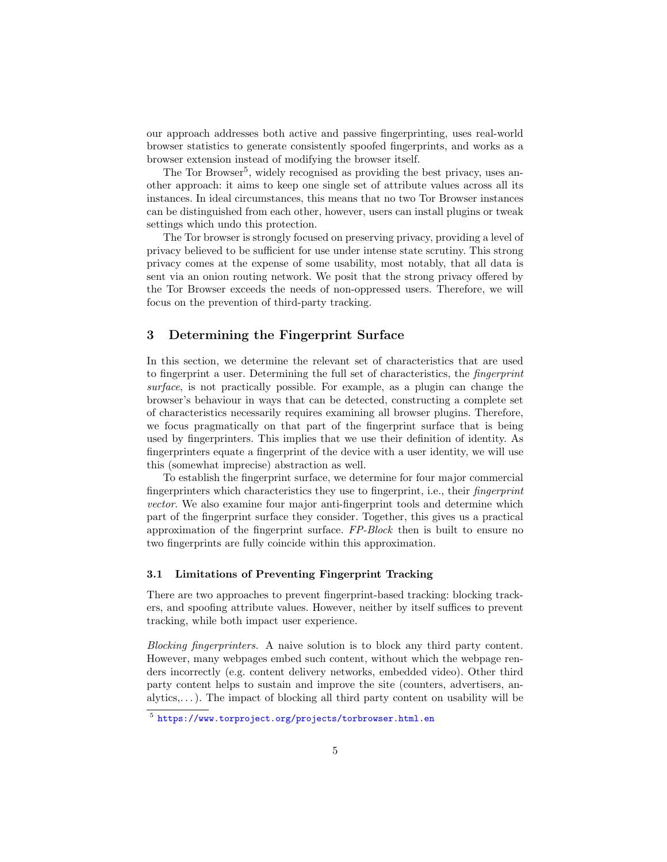our approach addresses both active and passive fingerprinting, uses real-world browser statistics to generate consistently spoofed fingerprints, and works as a browser extension instead of modifying the browser itself.

The Tor Browser<sup>[5](#page-4-0)</sup>, widely recognised as providing the best privacy, uses another approach: it aims to keep one single set of attribute values across all its instances. In ideal circumstances, this means that no two Tor Browser instances can be distinguished from each other, however, users can install plugins or tweak settings which undo this protection.

The Tor browser is strongly focused on preserving privacy, providing a level of privacy believed to be sufficient for use under intense state scrutiny. This strong privacy comes at the expense of some usability, most notably, that all data is sent via an onion routing network. We posit that the strong privacy offered by the Tor Browser exceeds the needs of non-oppressed users. Therefore, we will focus on the prevention of third-party tracking.

## 3 Determining the Fingerprint Surface

In this section, we determine the relevant set of characteristics that are used to fingerprint a user. Determining the full set of characteristics, the fingerprint surface, is not practically possible. For example, as a plugin can change the browser's behaviour in ways that can be detected, constructing a complete set of characteristics necessarily requires examining all browser plugins. Therefore, we focus pragmatically on that part of the fingerprint surface that is being used by fingerprinters. This implies that we use their definition of identity. As fingerprinters equate a fingerprint of the device with a user identity, we will use this (somewhat imprecise) abstraction as well.

To establish the fingerprint surface, we determine for four major commercial fingerprinters which characteristics they use to fingerprint, i.e., their fingerprint vector. We also examine four major anti-fingerprint tools and determine which part of the fingerprint surface they consider. Together, this gives us a practical approximation of the fingerprint surface. FP-Block then is built to ensure no two fingerprints are fully coincide within this approximation.

#### 3.1 Limitations of Preventing Fingerprint Tracking

There are two approaches to prevent fingerprint-based tracking: blocking trackers, and spoofing attribute values. However, neither by itself suffices to prevent tracking, while both impact user experience.

Blocking fingerprinters. A naive solution is to block any third party content. However, many webpages embed such content, without which the webpage renders incorrectly (e.g. content delivery networks, embedded video). Other third party content helps to sustain and improve the site (counters, advertisers, analytics,...). The impact of blocking all third party content on usability will be

<span id="page-4-0"></span> $^5$ <https://www.torproject.org/projects/torbrowser.html.en>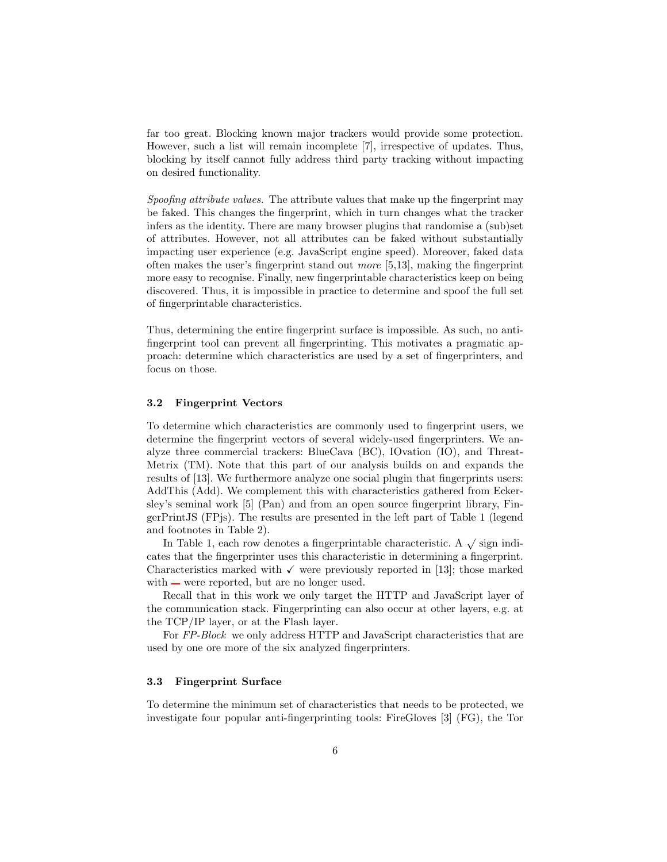far too great. Blocking known major trackers would provide some protection. However, such a list will remain incomplete [\[7\]](#page-16-11), irrespective of updates. Thus, blocking by itself cannot fully address third party tracking without impacting on desired functionality.

Spoofing attribute values. The attribute values that make up the fingerprint may be faked. This changes the fingerprint, which in turn changes what the tracker infers as the identity. There are many browser plugins that randomise a (sub)set of attributes. However, not all attributes can be faked without substantially impacting user experience (e.g. JavaScript engine speed). Moreover, faked data often makes the user's fingerprint stand out more [\[5](#page-15-0)[,13\]](#page-16-9), making the fingerprint more easy to recognise. Finally, new fingerprintable characteristics keep on being discovered. Thus, it is impossible in practice to determine and spoof the full set of fingerprintable characteristics.

Thus, determining the entire fingerprint surface is impossible. As such, no antifingerprint tool can prevent all fingerprinting. This motivates a pragmatic approach: determine which characteristics are used by a set of fingerprinters, and focus on those.

#### 3.2 Fingerprint Vectors

To determine which characteristics are commonly used to fingerprint users, we determine the fingerprint vectors of several widely-used fingerprinters. We analyze three commercial trackers: BlueCava (BC), IOvation (IO), and Threat-Metrix (TM). Note that this part of our analysis builds on and expands the results of [\[13\]](#page-16-9). We furthermore analyze one social plugin that fingerprints users: AddThis (Add). We complement this with characteristics gathered from Eckersley's seminal work [\[5\]](#page-15-0) (Pan) and from an open source fingerprint library, FingerPrintJS (FPjs). The results are presented in the left part of Table [1](#page-6-0) (legend and footnotes in Table [2\)](#page-7-0).

In Table [1,](#page-6-0) each row denotes a fingerprintable characteristic. A  $\sqrt{\text{sign}}$  indicates that the fingerprinter uses this characteristic in determining a fingerprint. Characteristics marked with  $\checkmark$  were previously reported in [\[13\]](#page-16-9); those marked with  $\equiv$  were reported, but are no longer used.

Recall that in this work we only target the HTTP and JavaScript layer of the communication stack. Fingerprinting can also occur at other layers, e.g. at the TCP/IP layer, or at the Flash layer.

For FP-Block we only address HTTP and JavaScript characteristics that are used by one ore more of the six analyzed fingerprinters.

#### 3.3 Fingerprint Surface

To determine the minimum set of characteristics that needs to be protected, we investigate four popular anti-fingerprinting tools: FireGloves [\[3\]](#page-15-1) (FG), the Tor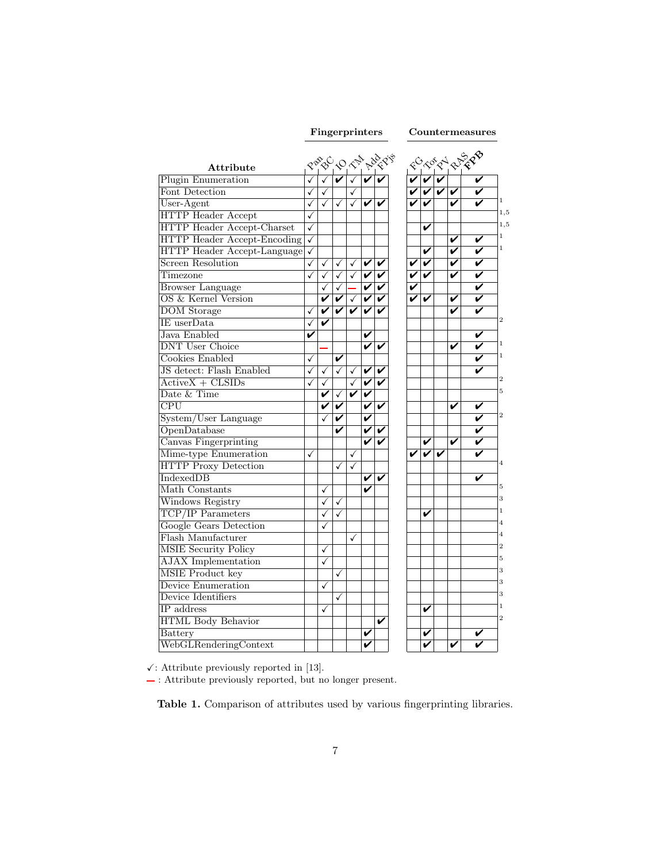## Fingerprinters Countermeasures

| Attribute                                   |              | Road O. Ray  |   |   |   |   |   |   |   |   |   |
|---------------------------------------------|--------------|--------------|---|---|---|---|---|---|---|---|---|
| Plugin Enumeration                          |              |              |   |   |   |   |   |   |   |   |   |
| Font Detection                              | ✓            | ✓            |   |   |   |   |   |   | V | V |   |
| User-Agent                                  | √            | ✓            | √ |   |   |   |   |   |   | V |   |
| <b>HTTP</b> Header Accept                   | ✓            |              |   |   |   |   |   |   |   |   |   |
| <b>HTTP</b> Header Accept-Charset           | √            |              |   |   |   |   |   | V |   |   |   |
| <b>HTTP</b> Header Accept-Encoding          | $\checkmark$ |              |   |   |   |   |   |   |   | V | Ū |
| <b>HTTP</b> Header Accept-Language          | ✓            |              |   |   |   |   |   | V |   | V | V |
| Screen Resolution                           | ✓            | $\checkmark$ | ✓ | ✓ | V | V | V | V |   | V | ✓ |
| Timezone                                    | ✓            | ✓            | ✓ | ✓ | V | V |   | V |   | V |   |
| <b>Browser Language</b>                     |              | ✓            | ✓ |   | V | V |   |   |   |   | V |
| OS & Kernel Version                         |              |              | ✓ | ✓ | V | V |   | ✓ |   | V | V |
| <b>DOM</b> Storage                          | ✓            | ✓            | V | ✔ | ✓ | ✓ |   |   |   | V | ✓ |
| IE userData                                 | ✓            | V            |   |   |   |   |   |   |   |   |   |
| Java Enabled                                | V            |              |   |   | V |   |   |   |   |   | V |
| <b>DNT</b> User Choice                      |              |              |   |   | V | V |   |   |   | Ī | V |
| Cookies Enabled                             | ✓            |              | V |   |   |   |   |   |   |   | ✓ |
| JS detect: Flash Enabled                    | ✓            | ✓            | ✓ | ✓ | V | V |   |   |   |   |   |
| $\overline{\text{ActiveX} + \text{CLSIDs}}$ | ✓            | ✓            |   | ✓ | V | V |   |   |   |   |   |
| Date & Time                                 |              | V            | ✓ | V | V |   |   |   |   |   |   |
| CPU                                         |              | ✓            | V |   | V | V |   |   |   | V | V |
| System/User Language                        |              | ✓            | V |   | V |   |   |   |   |   | V |
| OpenDatabase                                |              |              | ✓ |   | V | V |   |   |   |   | V |
| Canvas Fingerprinting                       |              |              |   |   | ✓ | V |   | V |   | V | ✓ |
| Mime-type Enumeration                       | ✓            |              |   | ✓ |   |   | ✓ | V | V |   | V |
| <b>HTTP Proxy Detection</b>                 |              |              | ✓ | ✓ |   |   |   |   |   |   |   |
| <b>IndexedDB</b>                            |              |              |   |   | V | V |   |   |   |   | V |
| Math Constants                              |              | ✓            |   |   | ✓ |   |   |   |   |   |   |
| Windows Registry                            |              | ✓            | ✓ |   |   |   |   |   |   |   |   |
| <b>TCP/IP</b> Parameters                    |              | ✓            | ✓ |   |   |   |   | V |   |   |   |
| <b>Google Gears Detection</b>               |              | ✓            |   |   |   |   |   |   |   |   |   |
| Flash Manufacturer                          |              |              |   | ✓ |   |   |   |   |   |   |   |
| <b>MSIE Security Policy</b>                 |              | ✓            |   |   |   |   |   |   |   |   |   |
| <b>AJAX</b> Implementation                  |              | ✓            |   |   |   |   |   |   |   |   |   |
| <b>MSIE</b> Product key                     |              |              | ✓ |   |   |   |   |   |   |   |   |
| Device Enumeration                          |              | ✓            |   |   |   |   |   |   |   |   |   |
| Device Identifiers                          |              |              | ✓ |   |   |   |   |   |   |   |   |
| IP address                                  |              | ✓            |   |   |   |   |   | V |   |   |   |
| <b>HTML Body Behavior</b>                   |              |              |   |   |   | V |   |   |   |   |   |
| <b>Battery</b>                              |              |              |   |   | V |   |   | ✔ |   |   |   |
| WebGLRenderingContext                       |              |              |   |   |   |   |   | ✓ |   | V |   |

 $\checkmark$ : Attribute previously reported in [\[13\]](#page-16-9).

<span id="page-6-0"></span> $-$  : Attribute previously reported, but no longer present.

Table 1. Comparison of attributes used by various fingerprinting libraries.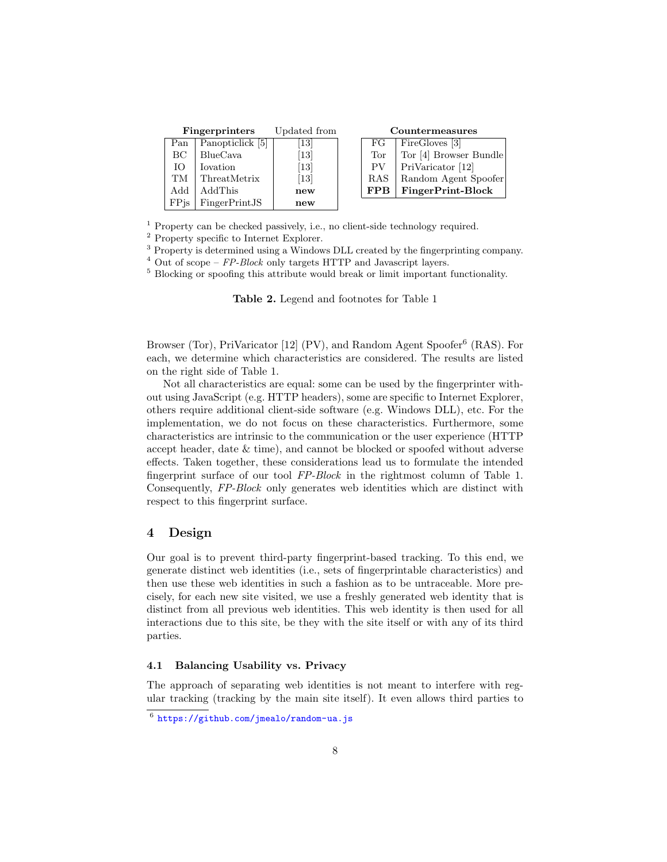| Fingerprinters |      |                  | Updated from                 | Countermeasures |                        |  |  |
|----------------|------|------------------|------------------------------|-----------------|------------------------|--|--|
|                | Pan  | Panopticlick [5] | 13]                          | FG              | FireGloves [3]         |  |  |
|                | BС   | <b>BlueCava</b>  | $\left\lceil 13\right\rceil$ | Tor             | Tor [4] Browser Bundle |  |  |
|                | Ю    | Iovation         | [13]                         | PV              | PriVaricator [12]      |  |  |
|                | TM   | ThreatMetrix     | [13]                         | RAS             | Random Agent Spoofer   |  |  |
|                | Add  | AddThis          | new                          | <b>FPB</b>      | FingerPrint-Block      |  |  |
|                | FPis | FingerPrintJS    | new                          |                 |                        |  |  |

<sup>1</sup> Property can be checked passively, i.e., no client-side technology required.

<sup>2</sup> Property specific to Internet Explorer.

<sup>3</sup> Property is determined using a Windows DLL created by the fingerprinting company.

 $4$  Out of scope – FP-Block only targets HTTP and Javascript layers.

<span id="page-7-0"></span><sup>5</sup> Blocking or spoofing this attribute would break or limit important functionality.

Table 2. Legend and footnotes for Table [1](#page-6-0)

Browser (Tor), PriVaricator [\[12\]](#page-16-10) (PV), and Random Agent Spoofer<sup>[6](#page-7-1)</sup> (RAS). For each, we determine which characteristics are considered. The results are listed on the right side of Table [1.](#page-6-0)

Not all characteristics are equal: some can be used by the fingerprinter without using JavaScript (e.g. HTTP headers), some are specific to Internet Explorer, others require additional client-side software (e.g. Windows DLL), etc. For the implementation, we do not focus on these characteristics. Furthermore, some characteristics are intrinsic to the communication or the user experience (HTTP accept header, date & time), and cannot be blocked or spoofed without adverse effects. Taken together, these considerations lead us to formulate the intended fingerprint surface of our tool FP-Block in the rightmost column of Table [1.](#page-6-0) Consequently, FP-Block only generates web identities which are distinct with respect to this fingerprint surface.

## 4 Design

Our goal is to prevent third-party fingerprint-based tracking. To this end, we generate distinct web identities (i.e., sets of fingerprintable characteristics) and then use these web identities in such a fashion as to be untraceable. More precisely, for each new site visited, we use a freshly generated web identity that is distinct from all previous web identities. This web identity is then used for all interactions due to this site, be they with the site itself or with any of its third parties.

#### 4.1 Balancing Usability vs. Privacy

The approach of separating web identities is not meant to interfere with regular tracking (tracking by the main site itself). It even allows third parties to

<span id="page-7-1"></span> $^6$ <https://github.com/jmealo/random-ua.js>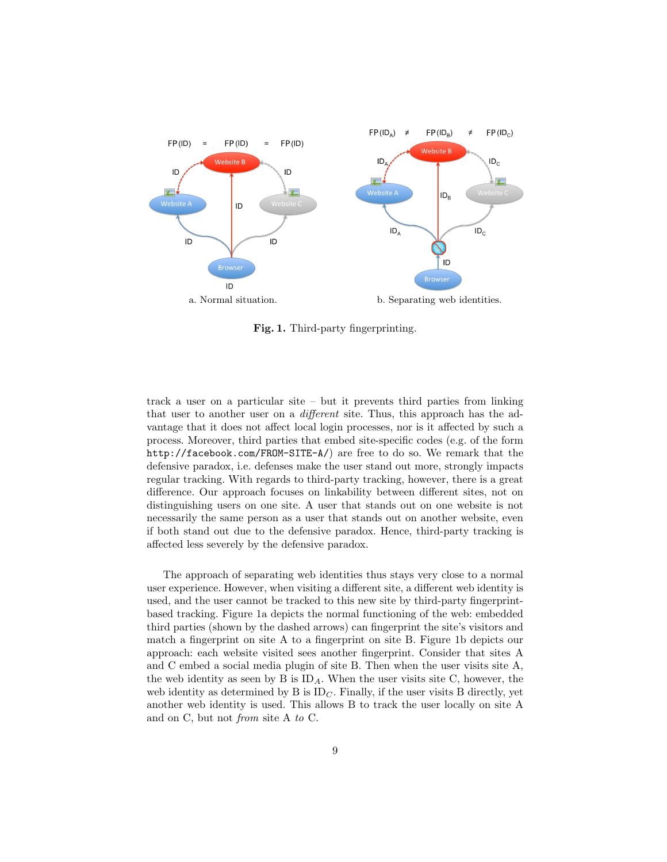

Fig. 1. Third-party fingerprinting.

<span id="page-8-0"></span>track a user on a particular site – but it prevents third parties from linking that user to another user on a different site. Thus, this approach has the advantage that it does not affect local login processes, nor is it affected by such a process. Moreover, third parties that embed site-specific codes (e.g. of the form http://facebook.com/FROM-SITE-A/) are free to do so. We remark that the defensive paradox, i.e. defenses make the user stand out more, strongly impacts regular tracking. With regards to third-party tracking, however, there is a great difference. Our approach focuses on linkability between different sites, not on distinguishing users on one site. A user that stands out on one website is not necessarily the same person as a user that stands out on another website, even if both stand out due to the defensive paradox. Hence, third-party tracking is affected less severely by the defensive paradox.

The approach of separating web identities thus stays very close to a normal user experience. However, when visiting a different site, a different web identity is used, and the user cannot be tracked to this new site by third-party fingerprintbased tracking. Figure [1a](#page-8-0) depicts the normal functioning of the web: embedded third parties (shown by the dashed arrows) can fingerprint the site's visitors and match a fingerprint on site A to a fingerprint on site B. Figure [1b](#page-8-0) depicts our approach: each website visited sees another fingerprint. Consider that sites A and C embed a social media plugin of site B. Then when the user visits site A, the web identity as seen by B is  $ID_A$ . When the user visits site C, however, the web identity as determined by B is  $ID<sub>C</sub>$ . Finally, if the user visits B directly, yet another web identity is used. This allows B to track the user locally on site A and on C, but not from site A to C.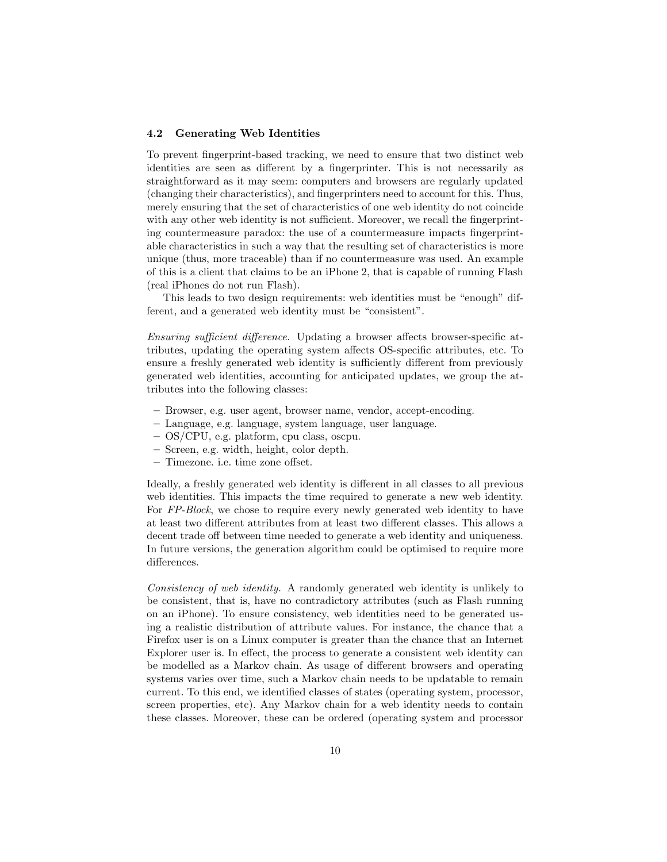#### 4.2 Generating Web Identities

To prevent fingerprint-based tracking, we need to ensure that two distinct web identities are seen as different by a fingerprinter. This is not necessarily as straightforward as it may seem: computers and browsers are regularly updated (changing their characteristics), and fingerprinters need to account for this. Thus, merely ensuring that the set of characteristics of one web identity do not coincide with any other web identity is not sufficient. Moreover, we recall the fingerprinting countermeasure paradox: the use of a countermeasure impacts fingerprintable characteristics in such a way that the resulting set of characteristics is more unique (thus, more traceable) than if no countermeasure was used. An example of this is a client that claims to be an iPhone 2, that is capable of running Flash (real iPhones do not run Flash).

This leads to two design requirements: web identities must be "enough" different, and a generated web identity must be "consistent".

Ensuring sufficient difference. Updating a browser affects browser-specific attributes, updating the operating system affects OS-specific attributes, etc. To ensure a freshly generated web identity is sufficiently different from previously generated web identities, accounting for anticipated updates, we group the attributes into the following classes:

- Browser, e.g. user agent, browser name, vendor, accept-encoding.
- Language, e.g. language, system language, user language.
- OS/CPU, e.g. platform, cpu class, oscpu.
- Screen, e.g. width, height, color depth.
- Timezone. i.e. time zone offset.

Ideally, a freshly generated web identity is different in all classes to all previous web identities. This impacts the time required to generate a new web identity. For FP-Block, we chose to require every newly generated web identity to have at least two different attributes from at least two different classes. This allows a decent trade off between time needed to generate a web identity and uniqueness. In future versions, the generation algorithm could be optimised to require more differences.

Consistency of web identity. A randomly generated web identity is unlikely to be consistent, that is, have no contradictory attributes (such as Flash running on an iPhone). To ensure consistency, web identities need to be generated using a realistic distribution of attribute values. For instance, the chance that a Firefox user is on a Linux computer is greater than the chance that an Internet Explorer user is. In effect, the process to generate a consistent web identity can be modelled as a Markov chain. As usage of different browsers and operating systems varies over time, such a Markov chain needs to be updatable to remain current. To this end, we identified classes of states (operating system, processor, screen properties, etc). Any Markov chain for a web identity needs to contain these classes. Moreover, these can be ordered (operating system and processor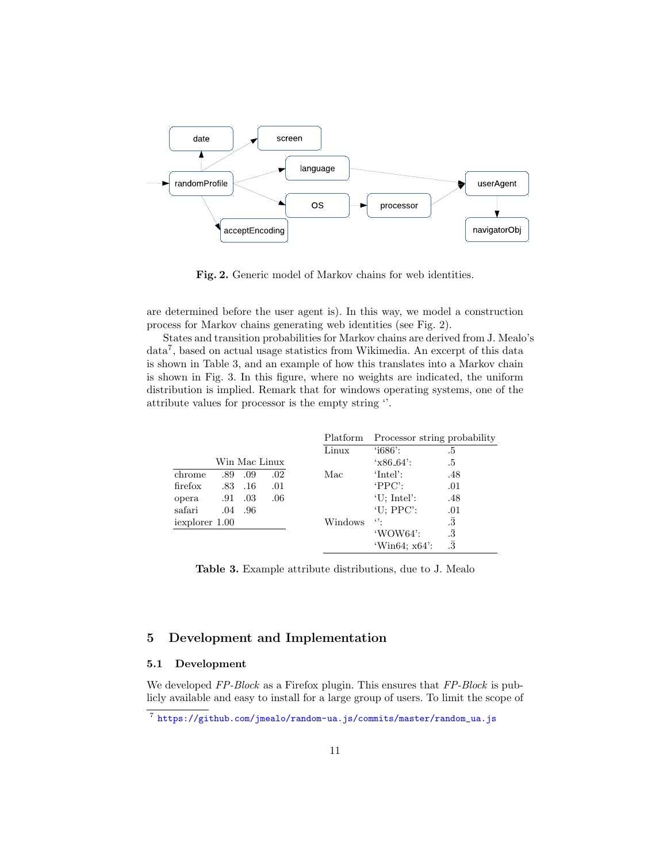

<span id="page-10-0"></span>Fig. 2. Generic model of Markov chains for web identities.

are determined before the user agent is). In this way, we model a construction process for Markov chains generating web identities (see Fig. [2\)](#page-10-0).

States and transition probabilities for Markov chains are derived from J. Mealo's data[7](#page-10-1) , based on actual usage statistics from Wikimedia. An excerpt of this data is shown in Table [3,](#page-10-2) and an example of how this translates into a Markov chain is shown in Fig. [3.](#page-11-0) In this figure, where no weights are indicated, the uniform distribution is implied. Remark that for windows operating systems, one of the attribute values for processor is the empty string ''.

|                |     |         |            | Platform | Processor string probability |                |  |  |
|----------------|-----|---------|------------|----------|------------------------------|----------------|--|--|
|                |     |         |            | Linux    | $'i686'$ :                   | .5             |  |  |
| Win Mac Linux  |     |         |            |          | x86.64                       | .5             |  |  |
| chrome         | .89 | .09     | .02        | Mac      | 'Intel':                     | .48            |  |  |
| firefox        | .83 | .16     | .01        |          | $'PPC$ :                     | .01            |  |  |
| opera          | .91 | .03     | .06        |          | 'U; Intel':                  | .48            |  |  |
| safari         | .04 | .96     |            |          | 'U: PPC':                    | .01            |  |  |
| iexplorer 1.00 |     | Windows | $\omega$ . | .3       |                              |                |  |  |
|                |     |         |            |          | 'WOW64':                     | $\overline{3}$ |  |  |
|                |     |         |            |          | 'Win64; $x64$ ':             | .3             |  |  |

<span id="page-10-2"></span>Table 3. Example attribute distributions, due to J. Mealo

# 5 Development and Implementation

## 5.1 Development

We developed FP-Block as a Firefox plugin. This ensures that FP-Block is publicly available and easy to install for a large group of users. To limit the scope of

<span id="page-10-1"></span> $^7$  [https://github.com/jmealo/random-ua.js/commits/master/random\\_ua.js](https://github.com/jmealo/random-ua.js/commits/master/random_ua.js)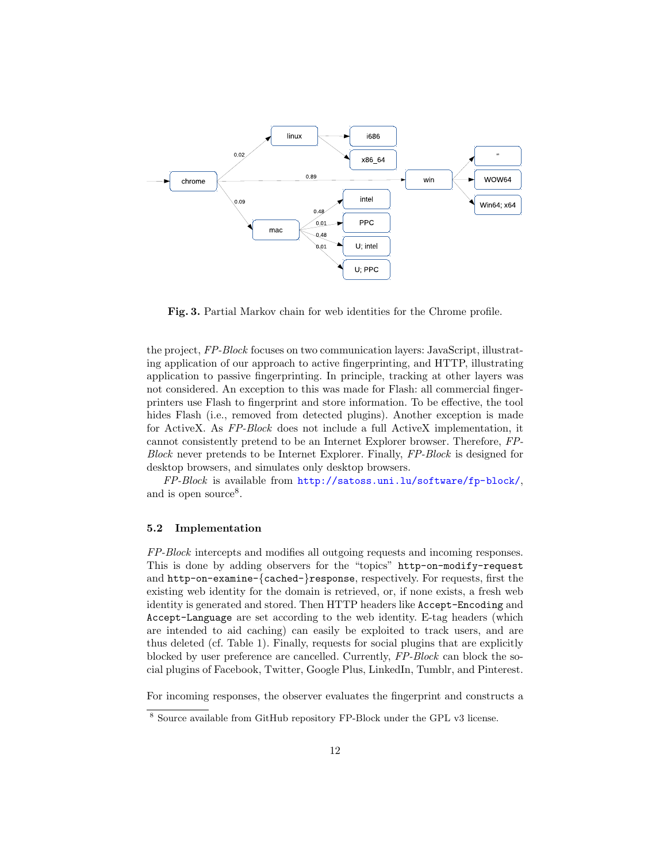

<span id="page-11-0"></span>Fig. 3. Partial Markov chain for web identities for the Chrome profile.

the project, FP-Block focuses on two communication layers: JavaScript, illustrating application of our approach to active fingerprinting, and HTTP, illustrating application to passive fingerprinting. In principle, tracking at other layers was not considered. An exception to this was made for Flash: all commercial fingerprinters use Flash to fingerprint and store information. To be effective, the tool hides Flash (i.e., removed from detected plugins). Another exception is made for ActiveX. As FP-Block does not include a full ActiveX implementation, it cannot consistently pretend to be an Internet Explorer browser. Therefore, FP-Block never pretends to be Internet Explorer. Finally, FP-Block is designed for desktop browsers, and simulates only desktop browsers.

FP-Block is available from <http://satoss.uni.lu/software/fp-block/>, and is open source<sup>[8](#page-11-1)</sup>.

#### 5.2 Implementation

FP-Block intercepts and modifies all outgoing requests and incoming responses. This is done by adding observers for the "topics" http-on-modify-request and http-on-examine-{cached-}response, respectively. For requests, first the existing web identity for the domain is retrieved, or, if none exists, a fresh web identity is generated and stored. Then HTTP headers like Accept-Encoding and Accept-Language are set according to the web identity. E-tag headers (which are intended to aid caching) can easily be exploited to track users, and are thus deleted (cf. Table [1\)](#page-6-0). Finally, requests for social plugins that are explicitly blocked by user preference are cancelled. Currently, FP-Block can block the social plugins of Facebook, Twitter, Google Plus, LinkedIn, Tumblr, and Pinterest.

For incoming responses, the observer evaluates the fingerprint and constructs a

<span id="page-11-1"></span><sup>8</sup> Source available from GitHub repository FP-Block under the GPL v3 license.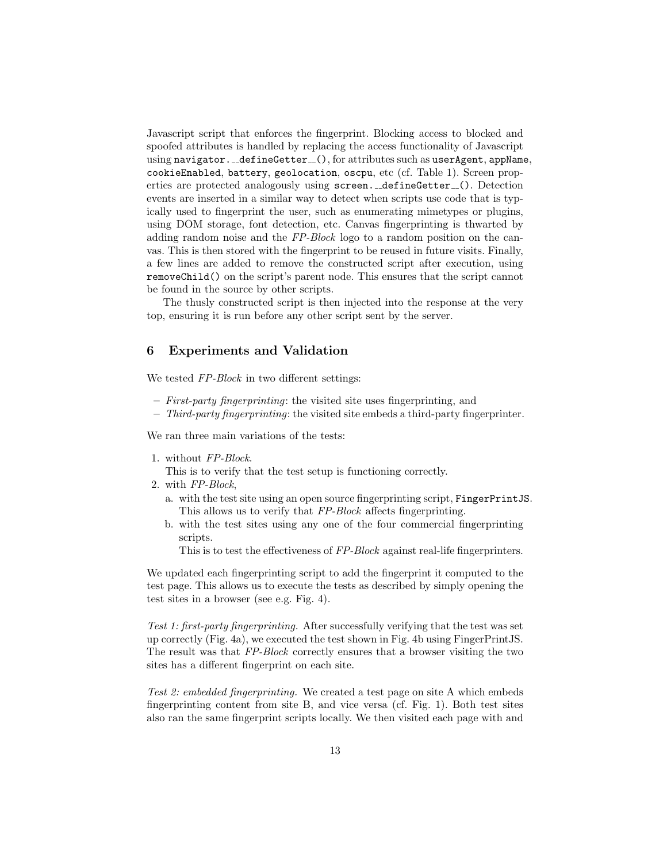Javascript script that enforces the fingerprint. Blocking access to blocked and spoofed attributes is handled by replacing the access functionality of Javascript using navigator. \_\_defineGetter \_\_(), for attributes such as userAgent, appName, cookieEnabled, battery, geolocation, oscpu, etc (cf. Table [1\)](#page-6-0). Screen properties are protected analogously using screen. \_\_ defineGetter \_\_ (). Detection events are inserted in a similar way to detect when scripts use code that is typically used to fingerprint the user, such as enumerating mimetypes or plugins, using DOM storage, font detection, etc. Canvas fingerprinting is thwarted by adding random noise and the FP-Block logo to a random position on the canvas. This is then stored with the fingerprint to be reused in future visits. Finally, a few lines are added to remove the constructed script after execution, using removeChild() on the script's parent node. This ensures that the script cannot be found in the source by other scripts.

The thusly constructed script is then injected into the response at the very top, ensuring it is run before any other script sent by the server.

## 6 Experiments and Validation

We tested  $FP\text{-}Block$  in two different settings:

- First-party fingerprinting: the visited site uses fingerprinting, and
- $-$  Third-party fingerprinting: the visited site embeds a third-party fingerprinter.

We ran three main variations of the tests:

1. without FP-Block.

This is to verify that the test setup is functioning correctly.

- 2. with FP-Block,
	- a. with the test site using an open source fingerprinting script, FingerPrintJS. This allows us to verify that FP-Block affects fingerprinting.
	- b. with the test sites using any one of the four commercial fingerprinting scripts.

This is to test the effectiveness of FP-Block against real-life fingerprinters.

We updated each fingerprinting script to add the fingerprint it computed to the test page. This allows us to execute the tests as described by simply opening the test sites in a browser (see e.g. Fig. [4\)](#page-13-0).

Test 1: first-party fingerprinting. After successfully verifying that the test was set up correctly (Fig. [4a](#page-13-0)), we executed the test shown in Fig. [4b](#page-13-0) using FingerPrintJS. The result was that FP-Block correctly ensures that a browser visiting the two sites has a different fingerprint on each site.

Test 2: embedded fingerprinting. We created a test page on site A which embeds fingerprinting content from site B, and vice versa (cf. Fig. [1\)](#page-8-0). Both test sites also ran the same fingerprint scripts locally. We then visited each page with and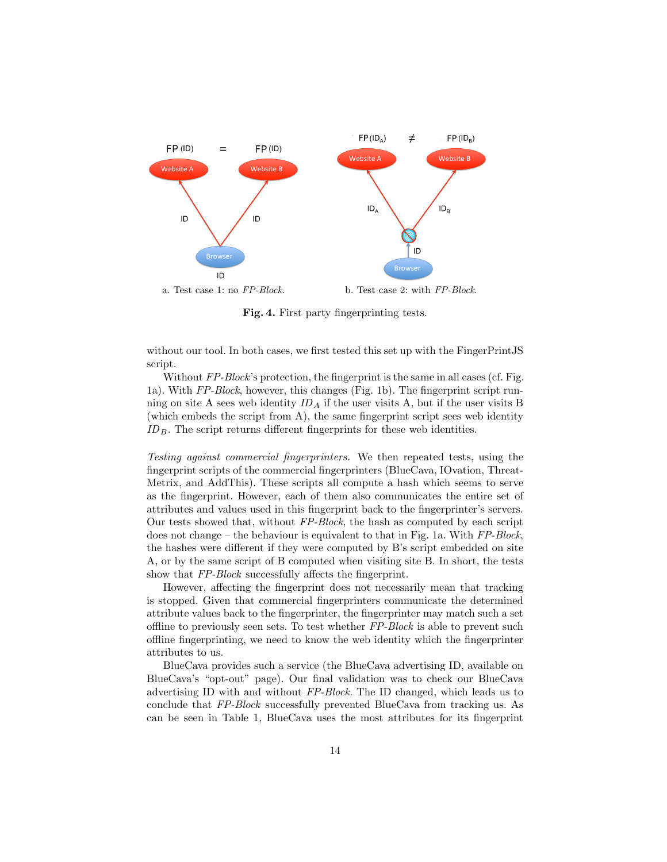

<span id="page-13-0"></span>Fig. 4. First party fingerprinting tests.

without our tool. In both cases, we first tested this set up with the FingerPrintJS script.

Without FP-Block's protection, the fingerprint is the same in all cases (cf. Fig. [1a](#page-8-0)). With FP-Block, however, this changes (Fig. [1b](#page-8-0)). The fingerprint script running on site A sees web identity  $ID_A$  if the user visits A, but if the user visits B (which embeds the script from A), the same fingerprint script sees web identity  $ID_B$ . The script returns different fingerprints for these web identities.

Testing against commercial fingerprinters. We then repeated tests, using the fingerprint scripts of the commercial fingerprinters (BlueCava, IOvation, Threat-Metrix, and AddThis). These scripts all compute a hash which seems to serve as the fingerprint. However, each of them also communicates the entire set of attributes and values used in this fingerprint back to the fingerprinter's servers. Our tests showed that, without FP-Block, the hash as computed by each script does not change – the behaviour is equivalent to that in Fig. [1a](#page-8-0). With  $FP-Block$ , the hashes were different if they were computed by B's script embedded on site A, or by the same script of B computed when visiting site B. In short, the tests show that  $FP\text{-}Block$  successfully affects the fingerprint.

However, affecting the fingerprint does not necessarily mean that tracking is stopped. Given that commercial fingerprinters communicate the determined attribute values back to the fingerprinter, the fingerprinter may match such a set offline to previously seen sets. To test whether  $FP-Block$  is able to prevent such offline fingerprinting, we need to know the web identity which the fingerprinter attributes to us.

BlueCava provides such a service (the BlueCava advertising ID, available on BlueCava's "opt-out" page). Our final validation was to check our BlueCava advertising ID with and without FP-Block. The ID changed, which leads us to conclude that FP-Block successfully prevented BlueCava from tracking us. As can be seen in Table [1,](#page-6-0) BlueCava uses the most attributes for its fingerprint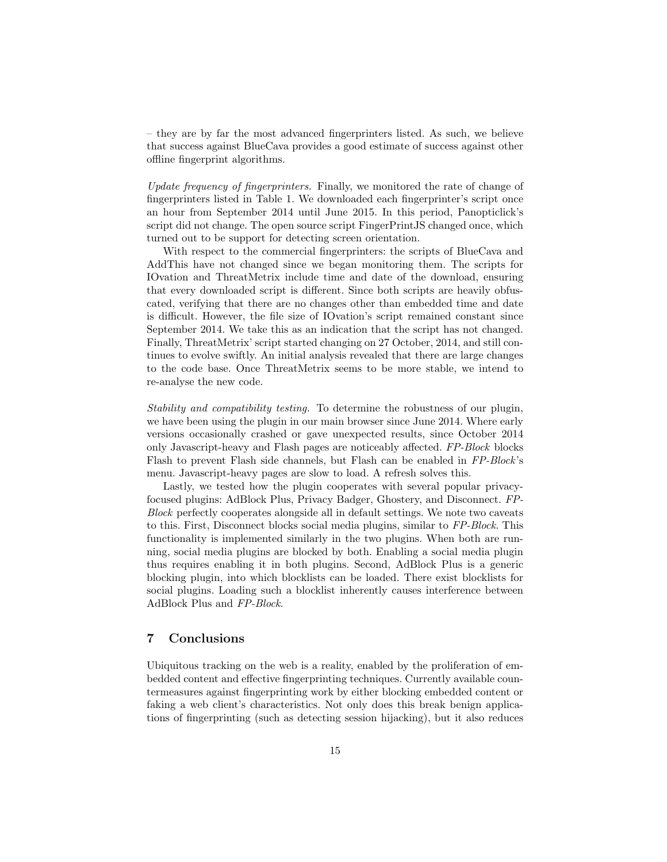– they are by far the most advanced fingerprinters listed. As such, we believe that success against BlueCava provides a good estimate of success against other offline fingerprint algorithms.

Update frequency of fingerprinters. Finally, we monitored the rate of change of fingerprinters listed in Table [1.](#page-6-0) We downloaded each fingerprinter's script once an hour from September 2014 until June 2015. In this period, Panopticlick's script did not change. The open source script FingerPrintJS changed once, which turned out to be support for detecting screen orientation.

With respect to the commercial fingerprinters: the scripts of BlueCava and AddThis have not changed since we began monitoring them. The scripts for IOvation and ThreatMetrix include time and date of the download, ensuring that every downloaded script is different. Since both scripts are heavily obfuscated, verifying that there are no changes other than embedded time and date is difficult. However, the file size of IOvation's script remained constant since September 2014. We take this as an indication that the script has not changed. Finally, ThreatMetrix' script started changing on 27 October, 2014, and still continues to evolve swiftly. An initial analysis revealed that there are large changes to the code base. Once ThreatMetrix seems to be more stable, we intend to re-analyse the new code.

Stability and compatibility testing. To determine the robustness of our plugin, we have been using the plugin in our main browser since June 2014. Where early versions occasionally crashed or gave unexpected results, since October 2014 only Javascript-heavy and Flash pages are noticeably affected. FP-Block blocks Flash to prevent Flash side channels, but Flash can be enabled in FP-Block's menu. Javascript-heavy pages are slow to load. A refresh solves this.

Lastly, we tested how the plugin cooperates with several popular privacyfocused plugins: AdBlock Plus, Privacy Badger, Ghostery, and Disconnect. FP-Block perfectly cooperates alongside all in default settings. We note two caveats to this. First, Disconnect blocks social media plugins, similar to FP-Block. This functionality is implemented similarly in the two plugins. When both are running, social media plugins are blocked by both. Enabling a social media plugin thus requires enabling it in both plugins. Second, AdBlock Plus is a generic blocking plugin, into which blocklists can be loaded. There exist blocklists for social plugins. Loading such a blocklist inherently causes interference between AdBlock Plus and FP-Block.

## 7 Conclusions

Ubiquitous tracking on the web is a reality, enabled by the proliferation of embedded content and effective fingerprinting techniques. Currently available countermeasures against fingerprinting work by either blocking embedded content or faking a web client's characteristics. Not only does this break benign applications of fingerprinting (such as detecting session hijacking), but it also reduces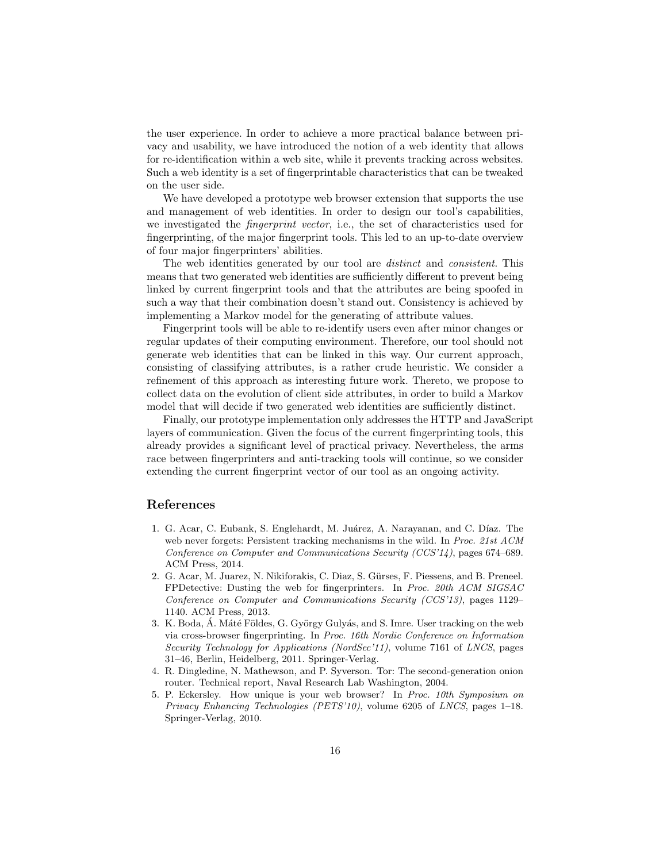the user experience. In order to achieve a more practical balance between privacy and usability, we have introduced the notion of a web identity that allows for re-identification within a web site, while it prevents tracking across websites. Such a web identity is a set of fingerprintable characteristics that can be tweaked on the user side.

We have developed a prototype web browser extension that supports the use and management of web identities. In order to design our tool's capabilities, we investigated the fingerprint vector, i.e., the set of characteristics used for fingerprinting, of the major fingerprint tools. This led to an up-to-date overview of four major fingerprinters' abilities.

The web identities generated by our tool are distinct and consistent. This means that two generated web identities are sufficiently different to prevent being linked by current fingerprint tools and that the attributes are being spoofed in such a way that their combination doesn't stand out. Consistency is achieved by implementing a Markov model for the generating of attribute values.

Fingerprint tools will be able to re-identify users even after minor changes or regular updates of their computing environment. Therefore, our tool should not generate web identities that can be linked in this way. Our current approach, consisting of classifying attributes, is a rather crude heuristic. We consider a refinement of this approach as interesting future work. Thereto, we propose to collect data on the evolution of client side attributes, in order to build a Markov model that will decide if two generated web identities are sufficiently distinct.

Finally, our prototype implementation only addresses the HTTP and JavaScript layers of communication. Given the focus of the current fingerprinting tools, this already provides a significant level of practical privacy. Nevertheless, the arms race between fingerprinters and anti-tracking tools will continue, so we consider extending the current fingerprint vector of our tool as an ongoing activity.

#### References

- <span id="page-15-3"></span>1. G. Acar, C. Eubank, S. Englehardt, M. Juárez, A. Narayanan, and C. Díaz. The web never forgets: Persistent tracking mechanisms in the wild. In *Proc. 21st ACM* Conference on Computer and Communications Security (CCS'14), pages 674–689. ACM Press, 2014.
- <span id="page-15-2"></span>2. G. Acar, M. Juarez, N. Nikiforakis, C. Diaz, S. G¨urses, F. Piessens, and B. Preneel. FPDetective: Dusting the web for fingerprinters. In Proc. 20th ACM SIGSAC Conference on Computer and Communications Security (CCS'13), pages 1129– 1140. ACM Press, 2013.
- <span id="page-15-1"></span>3. K. Boda, Á. Máté Földes, G. György Gulyás, and S. Imre. User tracking on the web via cross-browser fingerprinting. In Proc. 16th Nordic Conference on Information Security Technology for Applications (NordSec'11), volume 7161 of LNCS, pages 31–46, Berlin, Heidelberg, 2011. Springer-Verlag.
- <span id="page-15-4"></span>4. R. Dingledine, N. Mathewson, and P. Syverson. Tor: The second-generation onion router. Technical report, Naval Research Lab Washington, 2004.
- <span id="page-15-0"></span>5. P. Eckersley. How unique is your web browser? In Proc. 10th Symposium on Privacy Enhancing Technologies (PETS'10), volume 6205 of LNCS, pages 1–18. Springer-Verlag, 2010.